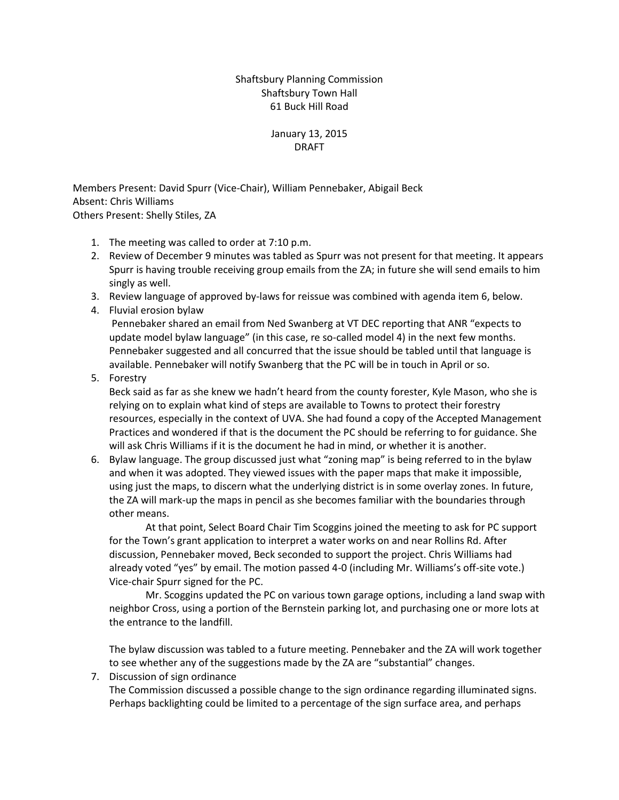## Shaftsbury Planning Commission Shaftsbury Town Hall 61 Buck Hill Road

## January 13, 2015 DRAFT

Members Present: David Spurr (Vice-Chair), William Pennebaker, Abigail Beck Absent: Chris Williams Others Present: Shelly Stiles, ZA

- 1. The meeting was called to order at 7:10 p.m.
- 2. Review of December 9 minutes was tabled as Spurr was not present for that meeting. It appears Spurr is having trouble receiving group emails from the ZA; in future she will send emails to him singly as well.
- 3. Review language of approved by-laws for reissue was combined with agenda item 6, below.
- 4. Fluvial erosion bylaw

Pennebaker shared an email from Ned Swanberg at VT DEC reporting that ANR "expects to update model bylaw language" (in this case, re so-called model 4) in the next few months. Pennebaker suggested and all concurred that the issue should be tabled until that language is available. Pennebaker will notify Swanberg that the PC will be in touch in April or so.

5. Forestry

Beck said as far as she knew we hadn't heard from the county forester, Kyle Mason, who she is relying on to explain what kind of steps are available to Towns to protect their forestry resources, especially in the context of UVA. She had found a copy of the Accepted Management Practices and wondered if that is the document the PC should be referring to for guidance. She will ask Chris Williams if it is the document he had in mind, or whether it is another.

6. Bylaw language. The group discussed just what "zoning map" is being referred to in the bylaw and when it was adopted. They viewed issues with the paper maps that make it impossible, using just the maps, to discern what the underlying district is in some overlay zones. In future, the ZA will mark-up the maps in pencil as she becomes familiar with the boundaries through other means.

At that point, Select Board Chair Tim Scoggins joined the meeting to ask for PC support for the Town's grant application to interpret a water works on and near Rollins Rd. After discussion, Pennebaker moved, Beck seconded to support the project. Chris Williams had already voted "yes" by email. The motion passed 4-0 (including Mr. Williams's off-site vote.) Vice-chair Spurr signed for the PC.

Mr. Scoggins updated the PC on various town garage options, including a land swap with neighbor Cross, using a portion of the Bernstein parking lot, and purchasing one or more lots at the entrance to the landfill.

The bylaw discussion was tabled to a future meeting. Pennebaker and the ZA will work together to see whether any of the suggestions made by the ZA are "substantial" changes.

7. Discussion of sign ordinance

The Commission discussed a possible change to the sign ordinance regarding illuminated signs. Perhaps backlighting could be limited to a percentage of the sign surface area, and perhaps